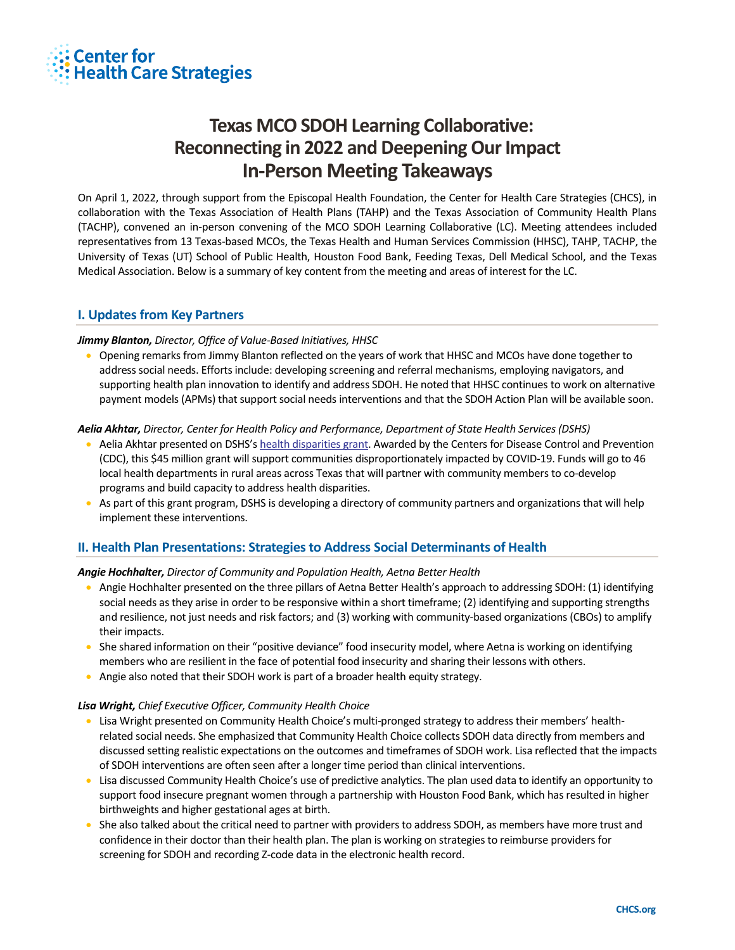

# **Texas MCO SDOH Learning Collaborative: Reconnecting in 2022 and Deepening Our Impact In-Person Meeting Takeaways**

On April 1, 2022, through support from the Episcopal Health Foundation, the Center for Health Care Strategies (CHCS), in collaboration with the Texas Association of Health Plans (TAHP) and the Texas Association of Community Health Plans (TACHP), convened an in-person convening of the MCO SDOH Learning Collaborative (LC). Meeting attendees included representatives from 13 Texas-based MCOs, the Texas Health and Human Services Commission (HHSC), TAHP, TACHP, the University of Texas (UT) School of Public Health, Houston Food Bank, Feeding Texas, Dell Medical School, and the Texas Medical Association. Below is a summary of key content from the meeting and areas of interest for the LC.

# **I. Updates from Key Partners**

## *Jimmy Blanton, Director, Office of Value-Based Initiatives, HHSC*

• Opening remarks from Jimmy Blanton reflected on the years of work that HHSC and MCOs have done together to address social needs. Efforts include: developing screening and referral mechanisms, employing navigators, and supporting health plan innovation to identify and address SDOH. He noted that HHSC continues to work on alternative payment models (APMs) that support social needs interventions and that the SDOH Action Plan will be available soon.

#### *Aelia Akhtar, Director, Center for Health Policy and Performance, Department of State Health Services (DSHS)*

- Aelia Akhtar presented on DSHS's [health disparities grant.](https://www.cdc.gov/publichealthgateway/partnerships/COVID-19-Health-Disparities-OT21-2103.html) Awarded by the Centers for Disease Control and Prevention (CDC), this \$45 million grant will support communities disproportionately impacted by COVID-19. Funds will go to 46 local health departments in rural areas across Texas that will partner with community members to co-develop programs and build capacity to address health disparities.
- As part of this grant program, DSHS is developing a directory of community partners and organizations that will help implement these interventions.

# **II. Health Plan Presentations: Strategies to Address Social Determinants of Health**

## *Angie Hochhalter, Director of Community and Population Health, Aetna Better Health*

- Angie Hochhalter presented on the three pillars of Aetna Better Health's approach to addressing SDOH: (1) identifying social needs as they arise in order to be responsive within a short timeframe; (2) identifying and supporting strengths and resilience, not just needs and risk factors; and (3) working with community-based organizations (CBOs) to amplify their impacts.
- She shared information on their "positive deviance" food insecurity model, where Aetna is working on identifying members who are resilient in the face of potential food insecurity and sharing their lessons with others.
- Angie also noted that their SDOH work is part of a broader health equity strategy.

#### *Lisa Wright, Chief Executive Officer, Community Health Choice*

- Lisa Wright presented on Community Health Choice's multi-pronged strategy to address their members' healthrelated social needs. She emphasized that Community Health Choice collects SDOH data directly from members and discussed setting realistic expectations on the outcomes and timeframes of SDOH work. Lisa reflected that the impacts of SDOH interventions are often seen after a longer time period than clinical interventions.
- Lisa discussed Community Health Choice's use of predictive analytics. The plan used data to identify an opportunity to support food insecure pregnant women through a partnership with Houston Food Bank, which has resulted in higher birthweights and higher gestational ages at birth.
- She also talked about the critical need to partner with providers to address SDOH, as members have more trust and confidence in their doctor than their health plan. The plan is working on strategies to reimburse providers for screening for SDOH and recording Z-code data in the electronic health record.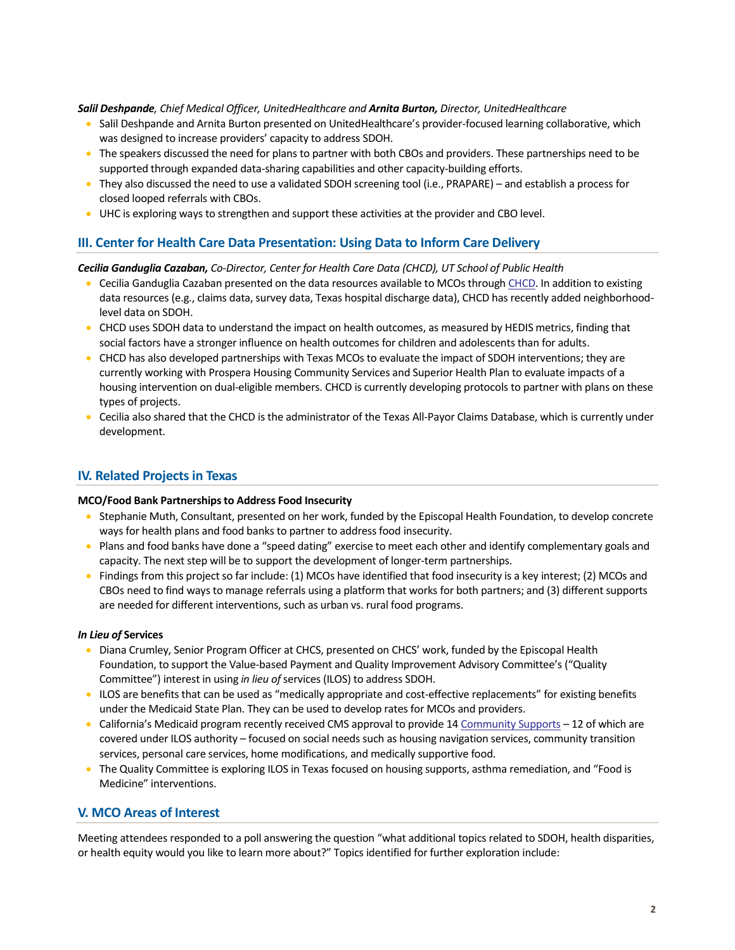#### *Salil Deshpande, Chief Medical Officer, UnitedHealthcare and Arnita Burton, Director, UnitedHealthcare*

- Salil Deshpande and Arnita Burton presented on UnitedHealthcare's provider-focused learning collaborative, which was designed to increase providers' capacity to address SDOH.
- The speakers discussed the need for plans to partner with both CBOs and providers. These partnerships need to be supported through expanded data-sharing capabilities and other capacity-building efforts.
- They also discussed the need to use a validated SDOH screening tool (i.e., PRAPARE) and establish a process for closed looped referrals with CBOs.
- UHC is exploring ways to strengthen and support these activities at the provider and CBO level.

# **III. Center for Health Care Data Presentation: Using Data to Inform Care Delivery**

#### *Cecilia Ganduglia Cazaban, Co-Director, Center for Health Care Data (CHCD), UT School of Public Health*

- Cecilia Ganduglia Cazaban presented on the data resources available to MCOs throug[h CHCD.](https://sph.uth.edu/research/centers/chcd/health-of-texas/) In addition to existing data resources (e.g., claims data, survey data, Texas hospital discharge data), CHCD has recently added neighborhoodlevel data on SDOH.
- CHCD uses SDOH data to understand the impact on health outcomes, as measured by HEDIS metrics, finding that social factors have a stronger influence on health outcomes for children and adolescents than for adults.
- CHCD has also developed partnerships with Texas MCOs to evaluate the impact of SDOH interventions; they are currently working with Prospera Housing Community Services and Superior Health Plan to evaluate impacts of a housing intervention on dual-eligible members. CHCD is currently developing protocols to partner with plans on these types of projects.
- Cecilia also shared that the CHCD is the administrator of the Texas All-Payor Claims Database, which is currently under development.

## **IV. Related Projects in Texas**

#### **MCO/Food Bank Partnerships to Address Food Insecurity**

- Stephanie Muth, Consultant, presented on her work, funded by the Episcopal Health Foundation, to develop concrete ways for health plans and food banks to partner to address food insecurity.
- Plans and food banks have done a "speed dating" exercise to meet each other and identify complementary goals and capacity. The next step will be to support the development of longer-term partnerships.
- Findings from this project so far include: (1) MCOs have identified that food insecurity is a key interest; (2) MCOs and CBOs need to find ways to manage referrals using a platform that works for both partners; and (3) different supports are needed for different interventions, such as urban vs. rural food programs.

#### *In Lieu of* **Services**

- Diana Crumley, Senior Program Officer at CHCS, presented on CHCS' work, funded by the Episcopal Health Foundation, to support the Value-based Payment and Quality Improvement Advisory Committee's ("Quality Committee") interest in using *in lieu of*services (ILOS) to address SDOH.
- ILOS are benefits that can be used as "medically appropriate and cost-effective replacements" for existing benefits under the Medicaid State Plan. They can be used to develop rates for MCOs and providers.
- California's Medicaid program recently received CMS approval to provide 1[4 Community Supports](https://www.dhcs.ca.gov/enhancedcaremanagementandinlieuofservices) 12 of which are covered under ILOS authority – focused on social needs such as housing navigation services, community transition services, personal care services, home modifications, and medically supportive food.
- The Quality Committee is exploring ILOS in Texas focused on housing supports, asthma remediation, and "Food is Medicine" interventions.

## **V. MCO Areas of Interest**

Meeting attendees responded to a poll answering the question "what additional topics related to SDOH, health disparities, or health equity would you like to learn more about?" Topics identified for further exploration include: